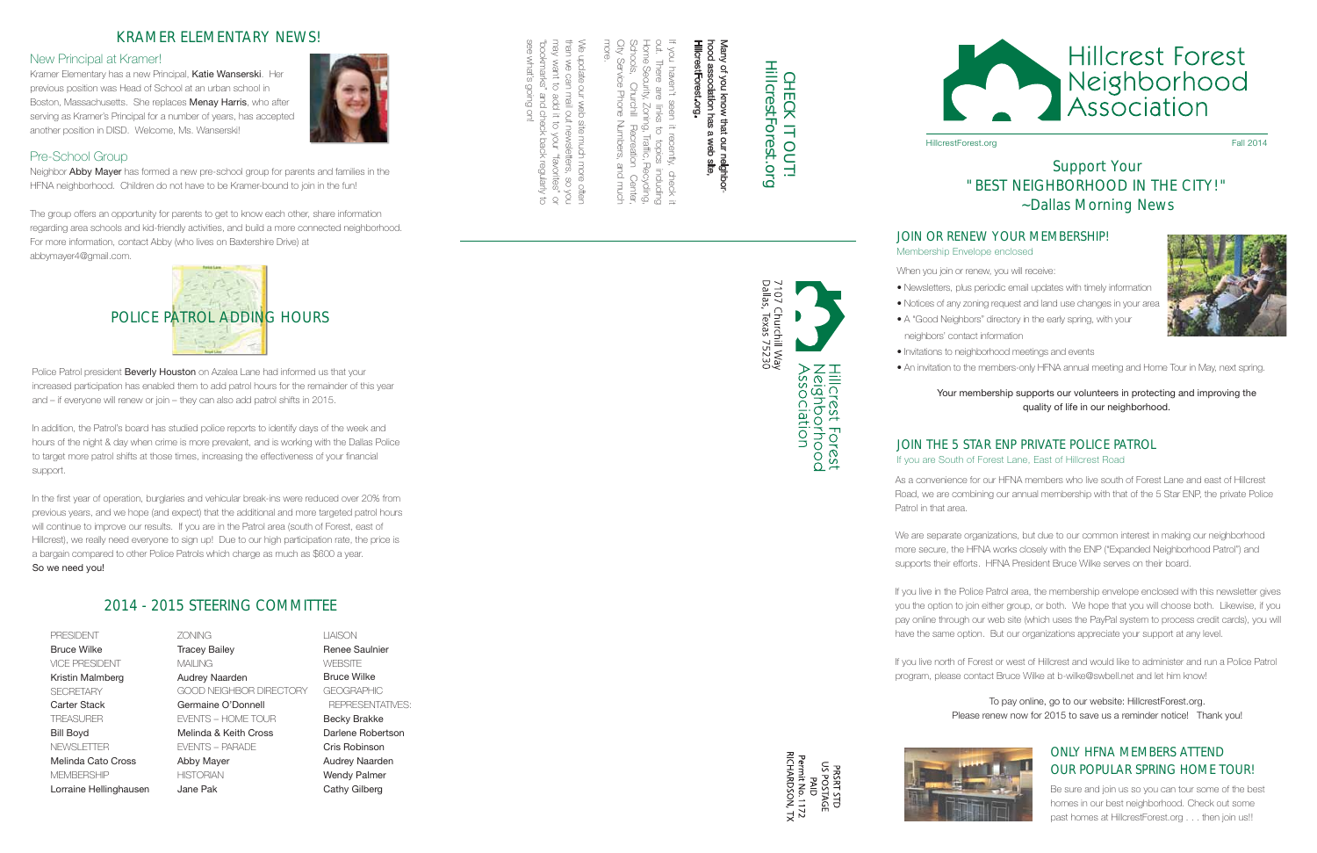### JOIN OR RENEW YOUR MEMBERSHIP! Membership Envelope enclosed

 $\overline{a}$ may

Home out.  $\equiv$ hood association has a web site,<br>HillcrestForest.org. Many of you know that our neighboryou There of you know that our neigh<br>association has a web site Security, haven't Forest.org ar<br>B seen links en it Zoning,  $\overrightarrow{C}$ I, Traffic recently,  $\overrightarrow{C}$ Recycling, check including

 $\equiv$ 



PRSRT STD<br>US POSTAGE<br>Permit No. 1172<br>RICHARDSON, TX<br>RICHARDSON, TX

Schools,  $\mathcal{Q}$ Recreation Center, City Service Phone Numbers, and  $\lesssim$ more. e update our web site mot than  $\lessapprox$ can mail out newsletters,

more often so yov. want to add<br>Dae a<br>T your "favorites" check back regularly see what's going on!

or

 $\sigma$ 

"bookmarks"

Police Patrol president **Beverly Houston** on Azalea Lane had informed us that your increased participation has enabled them to add patrol hours for the remainder of this year and – if everyone will renew or join – they can also add patrol shifts in 2015.

CHECK IT OUT! HillcrestForest.org

 $\overline{=}$ 

ILNO.

**CHECK** 

HillcrestForest.org

#### New Principal at Kramer!

Kramer Elementary has a new Principal, Katie Wanserski. Her previous position was Head of School at an urban school in Boston, Massachusetts. She replaces Menay Harris, who after serving as Kramer's Principal for a number of years, has accepted another position in DISD. Welcome, Ms. Wanserski!



In addition, the Patrol's board has studied police reports to identify days of the week and hours of the night & day when crime is more prevalent, and is working with the Dallas Police to target more patrol shifts at those times, increasing the effectiveness of your financial support.

> If you live in the Police Patrol area, the membership envelope enclosed with this newsletter gives you the option to join either group, or both. We hope that you will choose both. Likewise, if you pay online through our web site (which uses the PayPal system to process credit cards), you will have the same option. But our organizations appreciate your support at any level.

In the first year of operation, burglaries and vehicular break-ins were reduced over 20% from previous years, and we hope (and expect) that the additional and more targeted patrol hours will continue to improve our results. If you are in the Patrol area (south of Forest, east of Hillcrest), we really need everyone to sign up! Due to our high participation rate, the price is a bargain compared to other Police Patrols which charge as much as \$600 a year. So we need you!

Neighbor Abby Mayer has formed a new pre-school group for parents and families in the HFNA neighborhood. Children do not have to be Kramer-bound to join in the fun!

# Support Your "BEST NEIGHBORHOOD IN THE CITY!" ~*Dallas Morning News*

As a convenience for our HFNA members who live south of Forest Lane and east of Hillcrest Road, we are combining our annual membership with that of the 5 Star ENP, the private Police Patrol in that area.

We are separate organizations, but due to our common interest in making our neighborhood more secure, the HFNA works closely with the ENP ("Expanded Neighborhood Patrol") and supports their efforts. HFNA President Bruce Wilke serves on their board.

> Be sure and join us so you can tour some of the best homes in our best neighborhood. Check out some past homes at HillcrestForest.org . . . then join us!!

If you live north of Forest or west of Hillcrest and would like to administer and run a Police Patrol program, please contact Bruce Wilke at b-wilke@swbell.net and let him know!





Hillcrest Forest Neighborhood<br>Association

HillcrestForest.org **Fall 2014** 

#### JOIN THE 5 STAR ENP PRIVATE POLICE PATROL If you are South of Forest Lane, East of Hillcrest Road

When you join or renew, you will receive:

- Newsletters, plus periodic email updates with timely information
- Notices of any zoning request and land use changes in your area
- A "Good Neighbors" directory in the early spring, with your
	-
- Invitations to neighborhood meetings and events



neighbors' contact information

• An invitation to the members-only HFNA annual meeting and Home Tour in May, next spring.

#### Your membership supports our volunteers in protecting and improving the quality of life in our neighborhood.

To pay online, go to our website: HillcrestForest.org. Please renew now for 2015 to save us a reminder notice! Thank you!

# KRAMER ELEMENTARY NEWS!

## Pre-School Group

The group offers an opportunity for parents to get to know each other, share information regarding area schools and kid-friendly activities, and build a more connected neighborhood. For more information, contact Abby (who lives on Baxtershire Drive) at abbymayer4@gmail.com.



# 2014 - 2015 STEERING COMMITTEE

| <b>PRESIDENT</b>       |
|------------------------|
| <b>Bruce Wilke</b>     |
| VICE PRESIDENT         |
| Kristin Malmberg       |
| <b>SFCRFTARY</b>       |
| Carter Stack           |
| <b>TREASURER</b>       |
| <b>Bill Boyd</b>       |
| NEWSI ETTER            |
| Melinda Cato Cross     |
| MFMBFRSHIP             |
| Lorraine Hellinghausen |

ZONING Tracey Bailey MAILING Audrey Naarden GOOD NEIGHBOR DIRECTORY Germaine O'Donnell EVENTS – HOME TOUR Melinda & Keith Cross EVENTS – PARADE Abby Mayer **HISTORIAN** Jane Pak

LIAISON Renee Saulnier **WEBSITE** Bruce Wilke GEOGRAPHIC REPRESENTATIVES: Becky Brakke Darlene Robertson Cris Robinson Audrey Naarden Wendy Palmer Cathy Gilberg

# ONLY HFNA MEMBERS ATTEND OUR POPULAR SPRING HOME TOUR!